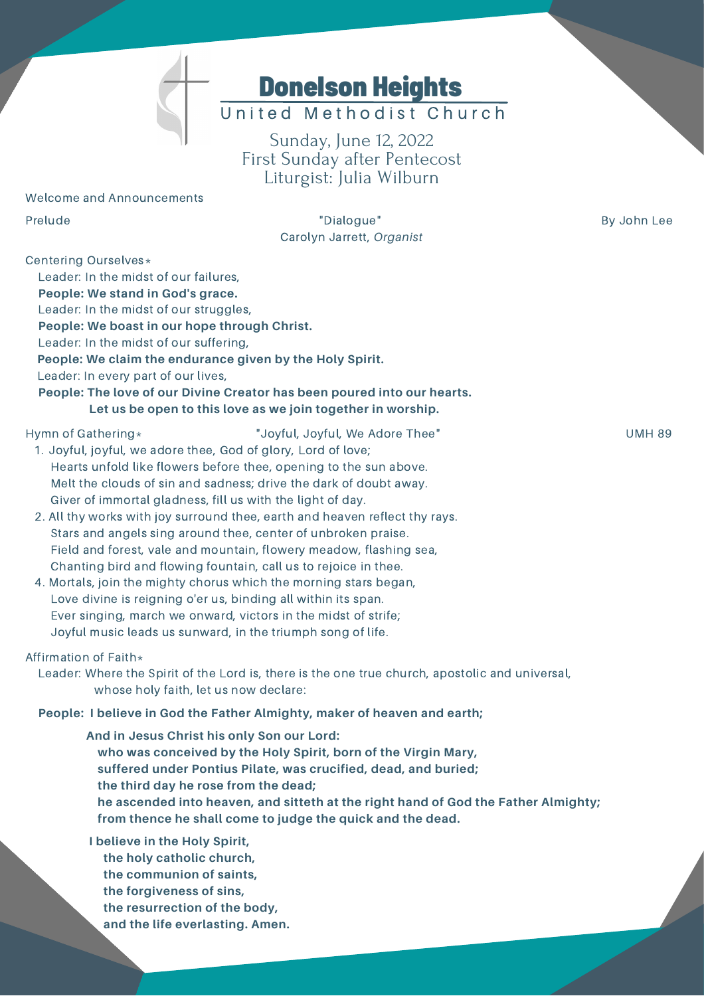

# United Methodist Church

Sunday, June 12, 2022 First Sunday after Pentecost Liturgist: Julia Wilburn

#### Welcome and Announcements

Prelude **By John Lee Contract Contract Contract Contract Contract Contract Contract Contract Contract Contract Contract Contract Contract Contract Contract Contract Contract Contract Contract Contract Contract Contract C** Carolyn Jarrett, *Organist*

Centering Ourselves\*

Leader: In the midst of our failures,

**People: We stand in God's grace.**

Leader: In the midst of our struggles,

**People: We boast in our hope through Christ.**

Leader: In the midst of our suffering,

**People: We claim the endurance given by the Holy Spirit.**

Leader: In every part of our lives,

## **People: The love of our Divine Creator has been poured into our hearts. Let us be open to this love as we join together in worship.**

- Hymn of Gathering\* The Controllic Controllery of Theorem Controllery and the UMH 89 UMH 89
	- 1. Joyful, joyful, we adore thee, God of glory, Lord of love; Hearts unfold like flowers before thee, opening to the sun above. Melt the clouds of sin and sadness; drive the dark of doubt away. Giver of immortal gladness, fill us with the light of day.
	- 2. All thy works with joy surround thee, earth and heaven reflect thy rays. Stars and angels sing around thee, center of unbroken praise. Field and forest, vale and mountain, flowery meadow, flashing sea, Chanting bird and flowing fountain, call us to rejoice in thee.
	- 4. Mortals, join the mighty chorus which the morning stars began, Love divine is reigning o'er us, binding all within its span. Ever singing, march we onward, victors in the midst of strife; Joyful music leads us sunward, in the triumph song of life.

#### Affirmation of Faith $*$

Leader: Where the Spirit of the Lord is, there is the one true church, apostolic and universal, whose holy faith, let us now declare:

#### **People: I believe in God the Father Almighty, maker of heaven and earth;**

**And in Jesus Christ his only Son our Lord: who was conceived by the Holy Spirit, born of the Virgin Mary, suffered under Pontius Pilate, was crucified, dead, and buried; the third day he rose from the dead; he ascended into heaven, and sitteth at the right hand of God the Father Almighty; from thence he shall come to judge the quick and the dead.**

**I believe in the Holy Spirit, the holy catholic church, the communion of saints, the forgiveness of sins, the resurrection of the body,**

**and the life everlasting. Amen.**